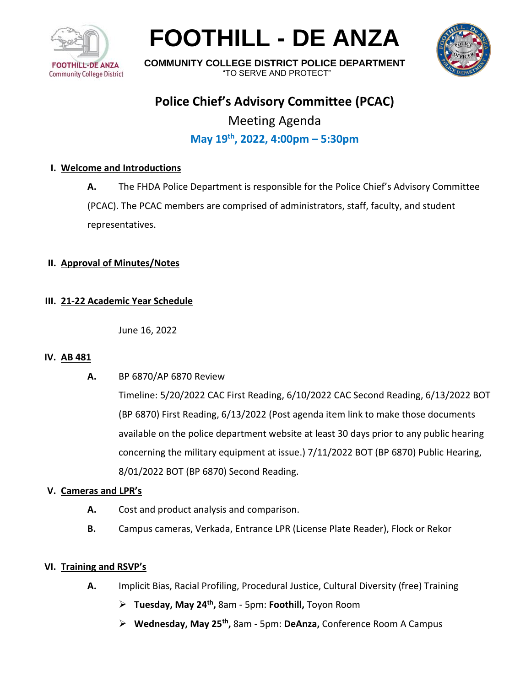

# **FOOTHILL - DE ANZA**



**COMMUNITY COLLEGE DISTRICT POLICE DEPARTMENT** "TO SERVE AND PROTECT"

# **Police Chief's Advisory Committee (PCAC)**

Meeting Agenda **May 19th , 2022, 4:00pm – 5:30pm**

## **I. Welcome and Introductions**

**A.** The FHDA Police Department is responsible for the Police Chief's Advisory Committee (PCAC). The PCAC members are comprised of administrators, staff, faculty, and student representatives.

#### **II. Approval of Minutes/Notes**

### **III. 21-22 Academic Year Schedule**

June 16, 2022

#### **IV. AB 481**

**A.** BP 6870/AP 6870 Review

Timeline: 5/20/2022 CAC First Reading, 6/10/2022 CAC Second Reading, 6/13/2022 BOT (BP 6870) First Reading, 6/13/2022 (Post agenda item link to make those documents available on the police department website at least 30 days prior to any public hearing concerning the military equipment at issue.) 7/11/2022 BOT (BP 6870) Public Hearing, 8/01/2022 BOT (BP 6870) Second Reading.

#### **V. Cameras and LPR's**

- **A.** Cost and product analysis and comparison.
- **B.** Campus cameras, Verkada, Entrance LPR (License Plate Reader), Flock or Rekor

#### **VI. Training and RSVP's**

- **A.** Implicit Bias, Racial Profiling, Procedural Justice, Cultural Diversity (free) Training
	- ➢ **Tuesday, May 24th ,** 8am 5pm: **Foothill,** Toyon Room
	- ➢ **Wednesday, May 25th ,** 8am 5pm: **DeAnza,** Conference Room A Campus